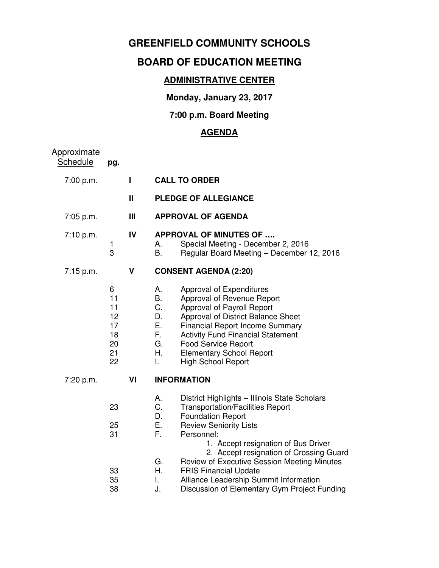## **GREENFIELD COMMUNITY SCHOOLS**

# **BOARD OF EDUCATION MEETING**

### **ADMINISTRATIVE CENTER**

**Monday, January 23, 2017** 

#### **7:00 p.m. Board Meeting**

## **AGENDA**

| Approximate<br><b>Schedule</b> | pg.                                               |    |                                                           |                                                                                                                                                                                                                                                                                                                |
|--------------------------------|---------------------------------------------------|----|-----------------------------------------------------------|----------------------------------------------------------------------------------------------------------------------------------------------------------------------------------------------------------------------------------------------------------------------------------------------------------------|
| 7:00 p.m.                      |                                                   | ı  |                                                           | <b>CALL TO ORDER</b>                                                                                                                                                                                                                                                                                           |
|                                |                                                   | Ш  |                                                           | <b>PLEDGE OF ALLEGIANCE</b>                                                                                                                                                                                                                                                                                    |
| 7:05 p.m.                      |                                                   | Ш  |                                                           | <b>APPROVAL OF AGENDA</b>                                                                                                                                                                                                                                                                                      |
| 7:10 p.m.                      | 1<br>3                                            | IV | А.<br>В.                                                  | <b>APPROVAL OF MINUTES OF </b><br>Special Meeting - December 2, 2016<br>Regular Board Meeting - December 12, 2016                                                                                                                                                                                              |
| 7:15 p.m.                      |                                                   | V  |                                                           | <b>CONSENT AGENDA (2:20)</b>                                                                                                                                                                                                                                                                                   |
|                                | 6<br>11<br>11<br>12<br>17<br>18<br>20<br>21<br>22 |    | Α.<br><b>B.</b><br>C.<br>D.<br>Е.<br>F.<br>G.<br>Η.<br>I. | Approval of Expenditures<br>Approval of Revenue Report<br>Approval of Payroll Report<br>Approval of District Balance Sheet<br><b>Financial Report Income Summary</b><br><b>Activity Fund Financial Statement</b><br><b>Food Service Report</b><br><b>Elementary School Report</b><br><b>High School Report</b> |
| 7:20 p.m.                      |                                                   | VI |                                                           | <b>INFORMATION</b>                                                                                                                                                                                                                                                                                             |
|                                | 23<br>25<br>31                                    |    | Α.<br>C.<br>D.<br>Е.<br>F.                                | District Highlights - Illinois State Scholars<br><b>Transportation/Facilities Report</b><br><b>Foundation Report</b><br><b>Review Seniority Lists</b><br>Personnel:                                                                                                                                            |
|                                | 33<br>35<br>38                                    |    | G.<br>Η.<br>I.<br>J.                                      | 1. Accept resignation of Bus Driver<br>2. Accept resignation of Crossing Guard<br>Review of Executive Session Meeting Minutes<br><b>FRIS Financial Update</b><br>Alliance Leadership Summit Information<br>Discussion of Elementary Gym Project Funding                                                        |